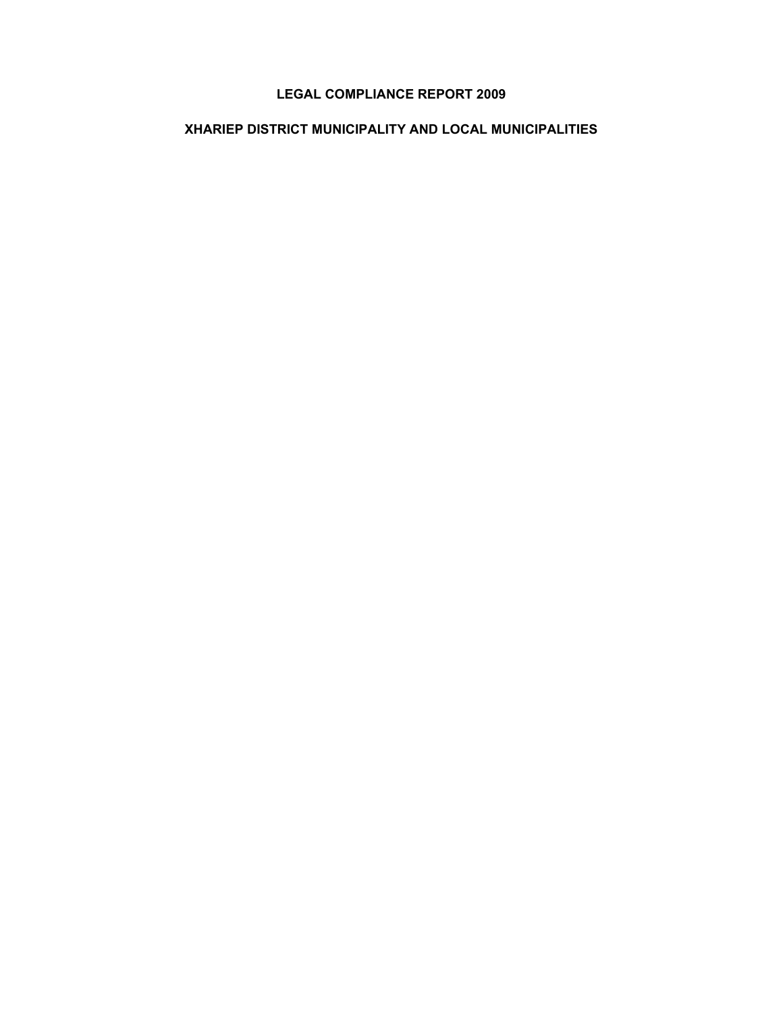# **LEGAL COMPLIANCE REPORT 2009**

# **XHARIEP DISTRICT MUNICIPALITY AND LOCAL MUNICIPALITIES**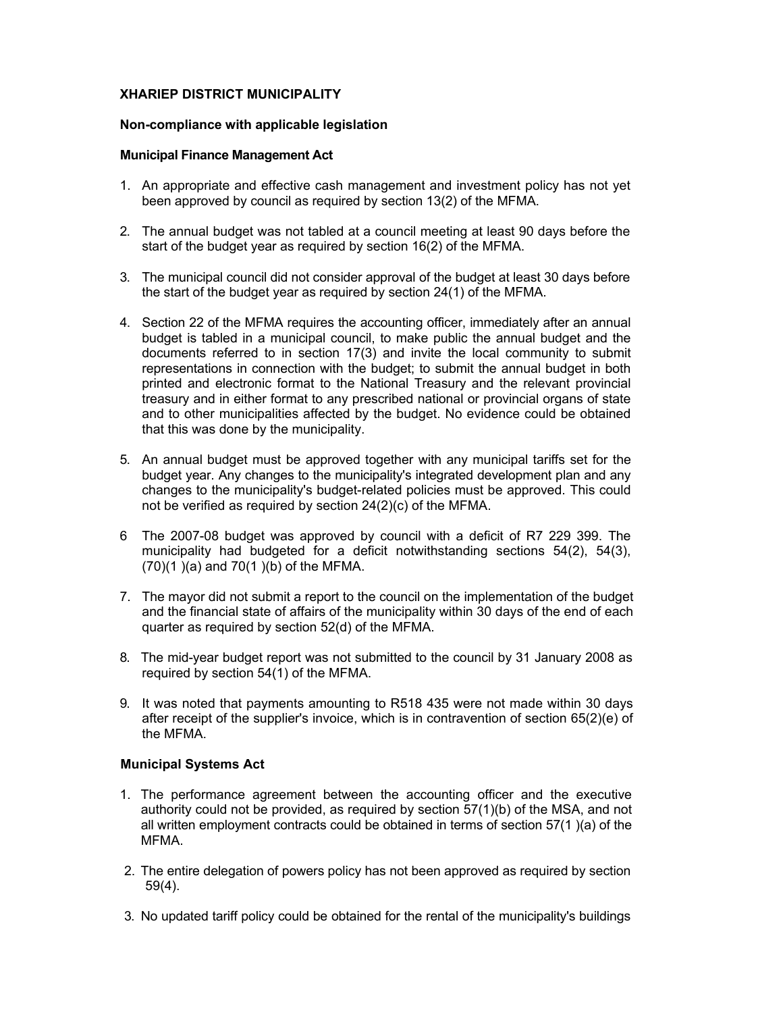### **XHARIEP DISTRICT MUNICIPALITY**

#### **Non-compliance with applicable legislation**

#### **Municipal Finance Management Act**

- 1. An appropriate and effective cash management and investment policy has not yet been approved by council as required by section 13(2) of the MFMA.
- 2. The annual budget was not tabled at a council meeting at least 90 days before the start of the budget year as required by section 16(2) of the MFMA.
- 3. The municipal council did not consider approval of the budget at least 30 days before the start of the budget year as required by section 24(1) of the MFMA.
- 4. Section 22 of the MFMA requires the accounting officer, immediately after an annual budget is tabled in a municipal council, to make public the annual budget and the documents referred to in section 17(3) and invite the local community to submit representations in connection with the budget; to submit the annual budget in both printed and electronic format to the National Treasury and the relevant provincial treasury and in either format to any prescribed national or provincial organs of state and to other municipalities affected by the budget. No evidence could be obtained that this was done by the municipality.
- 5. An annual budget must be approved together with any municipal tariffs set for the budget year. Any changes to the municipality's integrated development plan and any changes to the municipality's budget-related policies must be approved. This could not be verified as required by section 24(2)(c) of the MFMA.
- 6 The 2007-08 budget was approved by council with a deficit of R7 229 399. The municipality had budgeted for a deficit notwithstanding sections 54(2), 54(3), (70)(1 )(a) and 70(1 )(b) of the MFMA.
- 7. The mayor did not submit a report to the council on the implementation of the budget and the financial state of affairs of the municipality within 30 days of the end of each quarter as required by section 52(d) of the MFMA.
- 8. The mid-year budget report was not submitted to the council by 31 January 2008 as required by section 54(1) of the MFMA.
- 9. It was noted that payments amounting to R518 435 were not made within 30 days after receipt of the supplier's invoice, which is in contravention of section 65(2)(e) of the MFMA.

# **Municipal Systems Act**

- 1. The performance agreement between the accounting officer and the executive authority could not be provided, as required by section 57(1)(b) of the MSA, and not all written employment contracts could be obtained in terms of section 57(1 )(a) of the MFMA.
- 2. The entire delegation of powers policy has not been approved as required by section 59(4).
- 3. No updated tariff policy could be obtained for the rental of the municipality's buildings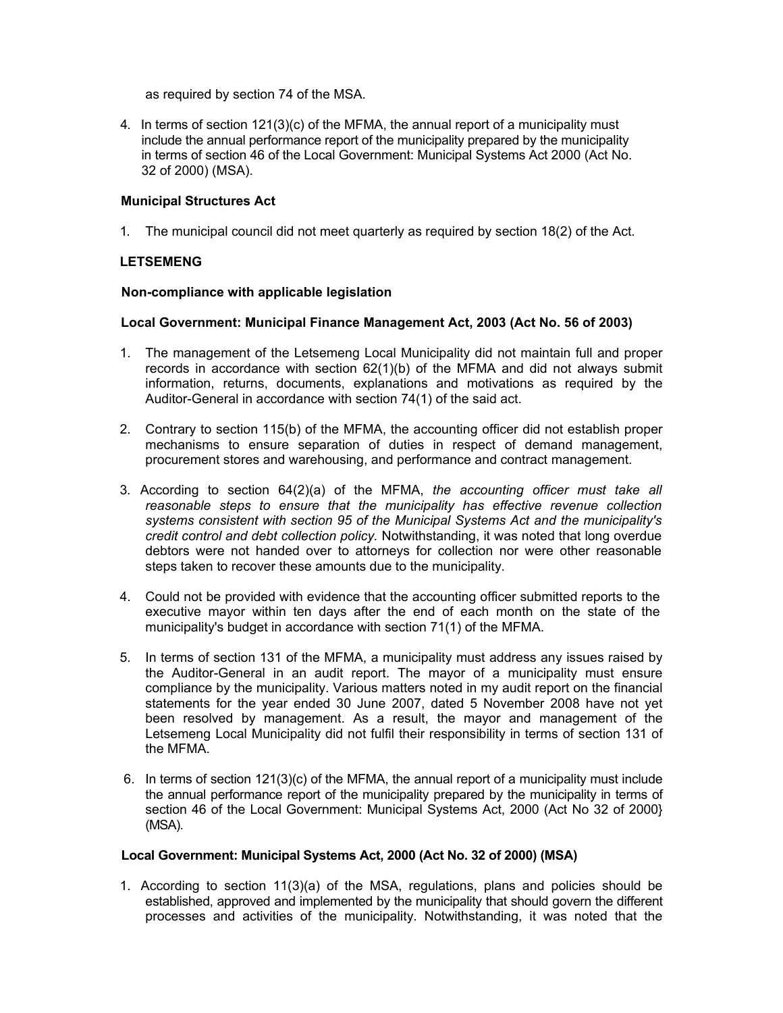as required by section 74 of the MSA.

4. In terms of section 121(3)(c) of the MFMA, the annual report of a municipality must include the annual performance report of the municipality prepared by the municipality in terms of section 46 of the Local Government: Municipal Systems Act 2000 (Act No. 32 of 2000) (MSA).

## **Municipal Structures Act**

1. The municipal council did not meet quarterly as required by section 18(2) of the Act.

### **LETSEMENG**

#### **Non-compliance with applicable legislation**

#### **Local Government: Municipal Finance Management Act, 2003 (Act No. 56 of 2003)**

- 1. The management of the Letsemeng Local Municipality did not maintain full and proper records in accordance with section  $62(1)(b)$  of the MFMA and did not always submit information, returns, documents, explanations and motivations as required by the Auditor-General in accordance with section 74(1) of the said act.
- 2. Contrary to section 115(b) of the MFMA, the accounting officer did not establish proper mechanisms to ensure separation of duties in respect of demand management, procurement stores and warehousing, and performance and contract management.
- 3. According to section 64(2)(a) of the MFMA, *the accounting officer must take all reasonable steps to ensure that the municipality has effective revenue collection systems consistent with section 95 of the Municipal Systems Act and the municipality's credit control and debt collection policy.* Notwithstanding, it was noted that long overdue debtors were not handed over to attorneys for collection nor were other reasonable steps taken to recover these amounts due to the municipality.
- 4. Could not be provided with evidence that the accounting officer submitted reports to the executive mayor within ten days after the end of each month on the state of the municipality's budget in accordance with section 71(1) of the MFMA.
- 5. In terms of section 131 of the MFMA, a municipality must address any issues raised by the Auditor-General in an audit report. The mayor of a municipality must ensure compliance by the municipality. Various matters noted in my audit report on the financial statements for the year ended 30 June 2007, dated 5 November 2008 have not yet been resolved by management. As a result, the mayor and management of the Letsemeng Local Municipality did not fulfil their responsibility in terms of section 131 of the MFMA.
- 6. In terms of section 121(3)(c) of the MFMA, the annual report of a municipality must include the annual performance report of the municipality prepared by the municipality in terms of section 46 of the Local Government: Municipal Systems Act, 2000 (Act No 32 of 2000} (MSA).

#### **Local Government: Municipal Systems Act, 2000 (Act No. 32 of 2000) (MSA)**

1. According to section 11(3)(a) of the MSA, regulations, plans and policies should be established, approved and implemented by the municipality that should govern the different processes and activities of the municipality. Notwithstanding, it was noted that the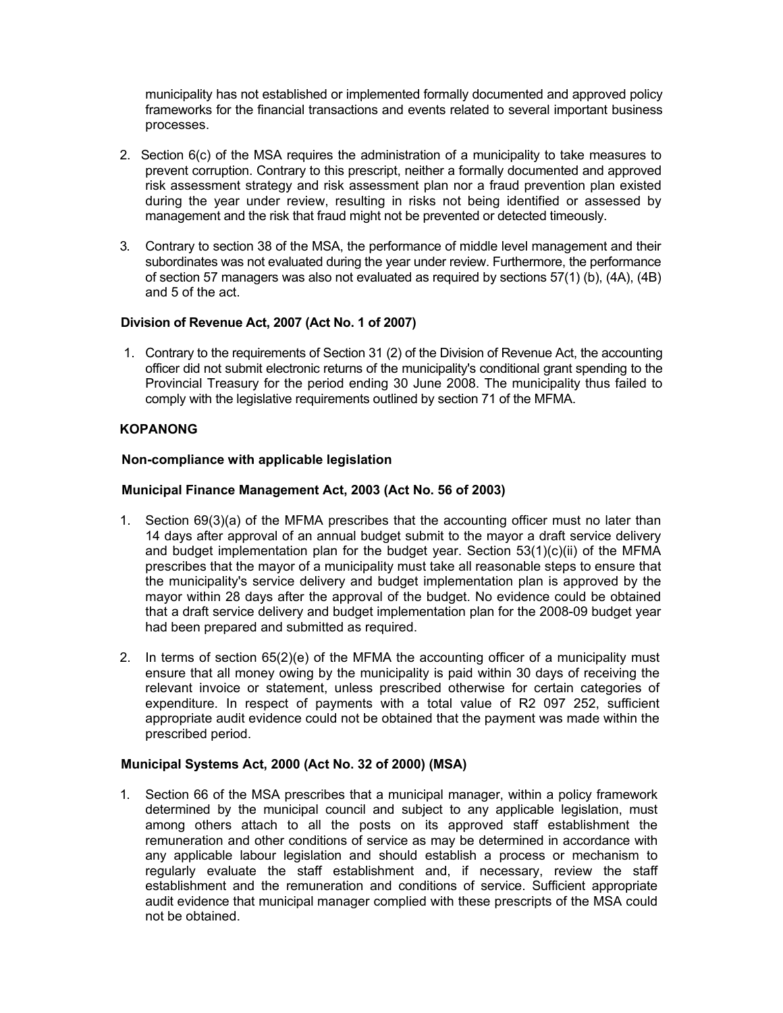municipality has not established or implemented formally documented and approved policy frameworks for the financial transactions and events related to several important business processes.

- 2. Section 6(c) of the MSA requires the administration of a municipality to take measures to prevent corruption. Contrary to this prescript, neither a formally documented and approved risk assessment strategy and risk assessment plan nor a fraud prevention plan existed during the year under review, resulting in risks not being identified or assessed by management and the risk that fraud might not be prevented or detected timeously.
- 3. Contrary to section 38 of the MSA, the performance of middle level management and their subordinates was not evaluated during the year under review. Furthermore, the performance of section 57 managers was also not evaluated as required by sections 57(1) (b), (4A), (4B) and 5 of the act.

# **Division of Revenue Act, 2007 (Act No. 1 of 2007)**

1. Contrary to the requirements of Section 31 (2) of the Division of Revenue Act, the accounting officer did not submit electronic returns of the municipality's conditional grant spending to the Provincial Treasury for the period ending 30 June 2008. The municipality thus failed to comply with the legislative requirements outlined by section 71 of the MFMA.

# **KOPANONG**

### **Non-compliance with applicable legislation**

### **Municipal Finance Management Act, 2003 (Act No. 56 of 2003)**

- 1. Section 69(3)(a) of the MFMA prescribes that the accounting officer must no later than 14 days after approval of an annual budget submit to the mayor a draft service delivery and budget implementation plan for the budget year. Section  $53(1)(c)(ii)$  of the MFMA prescribes that the mayor of a municipality must take all reasonable steps to ensure that the municipality's service delivery and budget implementation plan is approved by the mayor within 28 days after the approval of the budget. No evidence could be obtained that a draft service delivery and budget implementation plan for the 2008-09 budget year had been prepared and submitted as required.
- 2. In terms of section 65(2)(e) of the MFMA the accounting officer of a municipality must ensure that all money owing by the municipality is paid within 30 days of receiving the relevant invoice or statement, unless prescribed otherwise for certain categories of expenditure. In respect of payments with a total value of R2 097 252, sufficient appropriate audit evidence could not be obtained that the payment was made within the prescribed period.

#### **Municipal Systems Act, 2000 (Act No. 32 of 2000) (MSA)**

1. Section 66 of the MSA prescribes that a municipal manager, within a policy framework determined by the municipal council and subject to any applicable legislation, must among others attach to all the posts on its approved staff establishment the remuneration and other conditions of service as may be determined in accordance with any applicable labour legislation and should establish a process or mechanism to regularly evaluate the staff establishment and, if necessary, review the staff establishment and the remuneration and conditions of service. Sufficient appropriate audit evidence that municipal manager complied with these prescripts of the MSA could not be obtained.